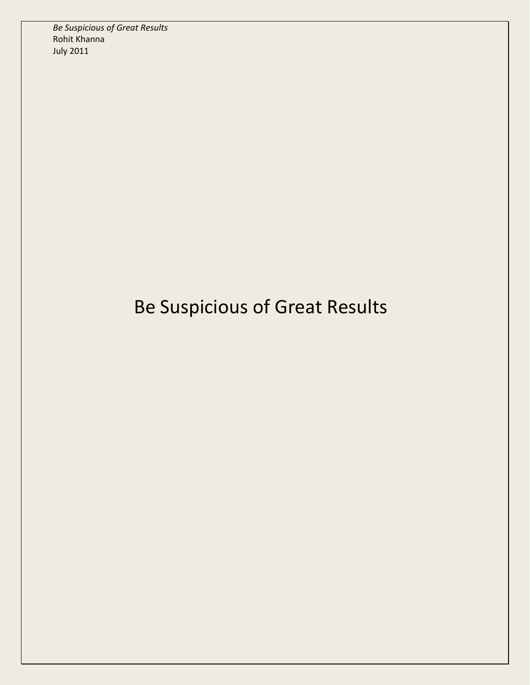*Be Suspicious of Great Results* Rohit Khanna July 2011

## Be Suspicious of Great Results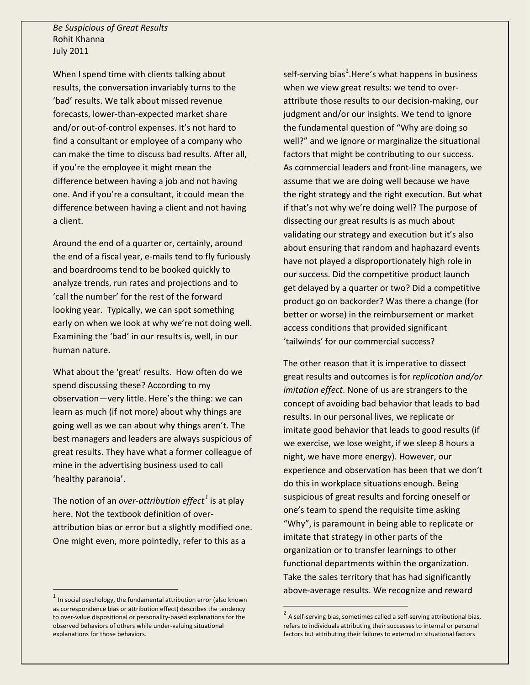*Be Suspicious of Great Results* Rohit Khanna July 2011

When I spend time with clients talking about results, the conversation invariably turns to the 'bad' results. We talk about missed revenue forecasts, lower-than-expected market share and/or out-of-control expenses. It's not hard to find a consultant or employee of a company who can make the time to discuss bad results. After all, if you're the employee it might mean the difference between having a job and not having one. And if you're a consultant, it could mean the difference between having a client and not having a client.

Around the end of a quarter or, certainly, around the end of a fiscal year, e-mails tend to fly furiously and boardrooms tend to be booked quickly to analyze trends, run rates and projections and to 'call the number' for the rest of the forward looking year. Typically, we can spot something early on when we look at why we're not doing well. Examining the 'bad' in our results is, well, in our human nature.

What about the 'great' results. How often do we spend discussing these? According to my observation—very little. Here's the thing: we can learn as much (if not more) about why things are going well as we can about why things aren't. The best managers and leaders are always suspicious of great results. They have what a former colleague of mine in the advertising business used to call 'healthy paranoia'.

The notion of an *over-attribution effect[1](#page-1-0)* is at play here. Not the textbook definition of overattribution bias or error but a slightly modified one. One might even, more pointedly, refer to this as a

self-serving bias<sup>[2](#page-1-1)</sup>.Here's what happens in business when we view great results: we tend to overattribute those results to our decision-making, our judgment and/or our insights. We tend to ignore the fundamental question of "Why are doing so well?" and we ignore or marginalize the situational factors that might be contributing to our success. As commercial leaders and front-line managers, we assume that we are doing well because we have the right strategy and the right execution. But what if that's not why we're doing well? The purpose of dissecting our great results is as much about validating our strategy and execution but it's also about ensuring that random and haphazard events have not played a disproportionately high role in our success. Did the competitive product launch get delayed by a quarter or two? Did a competitive product go on backorder? Was there a change (for better or worse) in the reimbursement or market access conditions that provided significant 'tailwinds' for our commercial success?

The other reason that it is imperative to dissect great results and outcomes is for *replication and/or imitation effect*. None of us are strangers to the concept of avoiding bad behavior that leads to bad results. In our personal lives, we replicate or imitate good behavior that leads to good results (if we exercise, we lose weight, if we sleep 8 hours a night, we have more energy). However, our experience and observation has been that we don't do this in workplace situations enough. Being suspicious of great results and forcing oneself or one's team to spend the requisite time asking "Why", is paramount in being able to replicate or imitate that strategy in other parts of the organization or to transfer learnings to other functional departments within the organization. Take the sales territory that has had significantly above-average results. We recognize and reward

<span id="page-1-1"></span><span id="page-1-0"></span> $1$  In social psychology, the fundamental attribution error (also known as correspondence bias or attribution effect) describes the tendency to over-value dispositional or personality-based explanations for the observed behaviors of others while under-valuing situational explanations for those behaviors.

<sup>&</sup>lt;sup>2</sup> A self-serving bias, sometimes called a self-serving attributional bias, refers to individuals attributing their successes to internal or personal factors but attributing their failures to external or situational factors